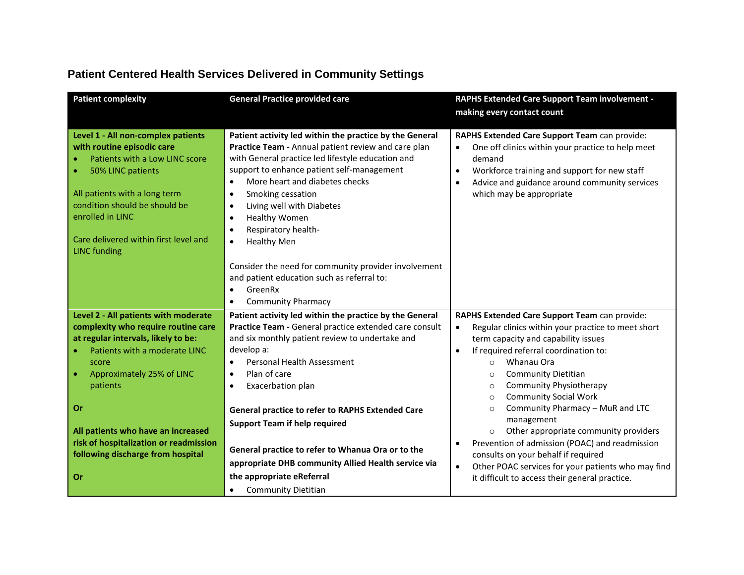| <b>Patient complexity</b>                                                                                                                                                                                                                                                                                                              | <b>General Practice provided care</b>                                                                                                                                                                                                                                                                                                                                                                                                                                                                                                                                                                        | RAPHS Extended Care Support Team involvement -<br>making every contact count                                                                                                                                                                                                                                                                                                                                                                                                                                                                                                                                                                                                                     |
|----------------------------------------------------------------------------------------------------------------------------------------------------------------------------------------------------------------------------------------------------------------------------------------------------------------------------------------|--------------------------------------------------------------------------------------------------------------------------------------------------------------------------------------------------------------------------------------------------------------------------------------------------------------------------------------------------------------------------------------------------------------------------------------------------------------------------------------------------------------------------------------------------------------------------------------------------------------|--------------------------------------------------------------------------------------------------------------------------------------------------------------------------------------------------------------------------------------------------------------------------------------------------------------------------------------------------------------------------------------------------------------------------------------------------------------------------------------------------------------------------------------------------------------------------------------------------------------------------------------------------------------------------------------------------|
| Level 1 - All non-complex patients<br>with routine episodic care<br>Patients with a Low LINC score<br>50% LINC patients<br>All patients with a long term<br>condition should be should be<br>enrolled in LINC<br>Care delivered within first level and<br><b>LINC</b> funding                                                          | Patient activity led within the practice by the General<br>Practice Team - Annual patient review and care plan<br>with General practice led lifestyle education and<br>support to enhance patient self-management<br>More heart and diabetes checks<br>$\bullet$<br>Smoking cessation<br>$\bullet$<br>Living well with Diabetes<br>$\bullet$<br>Healthy Women<br>$\bullet$<br>Respiratory health-<br>$\bullet$<br><b>Healthy Men</b><br>$\bullet$<br>Consider the need for community provider involvement<br>and patient education such as referral to:<br>GreenRx<br>$\bullet$<br><b>Community Pharmacy</b> | RAPHS Extended Care Support Team can provide:<br>One off clinics within your practice to help meet<br>$\bullet$<br>demand<br>Workforce training and support for new staff<br>$\bullet$<br>Advice and guidance around community services<br>٠<br>which may be appropriate                                                                                                                                                                                                                                                                                                                                                                                                                         |
| Level 2 - All patients with moderate<br>complexity who require routine care<br>at regular intervals, likely to be:<br>Patients with a moderate LINC<br>score<br>Approximately 25% of LINC<br>patients<br>Or<br>All patients who have an increased<br>risk of hospitalization or readmission<br>following discharge from hospital<br>Or | Patient activity led within the practice by the General<br>Practice Team - General practice extended care consult<br>and six monthly patient review to undertake and<br>develop a:<br>Personal Health Assessment<br>$\bullet$<br>Plan of care<br>$\bullet$<br>Exacerbation plan<br>$\bullet$<br>General practice to refer to RAPHS Extended Care<br><b>Support Team if help required</b><br>General practice to refer to Whanua Ora or to the<br>appropriate DHB community Allied Health service via<br>the appropriate eReferral                                                                            | RAPHS Extended Care Support Team can provide:<br>Regular clinics within your practice to meet short<br>$\bullet$<br>term capacity and capability issues<br>If required referral coordination to:<br>$\bullet$<br>Whanau Ora<br>$\Omega$<br><b>Community Dietitian</b><br>$\circ$<br>Community Physiotherapy<br>$\circ$<br><b>Community Social Work</b><br>$\circ$<br>Community Pharmacy - MuR and LTC<br>$\circ$<br>management<br>Other appropriate community providers<br>$\circ$<br>Prevention of admission (POAC) and readmission<br>consults on your behalf if required<br>Other POAC services for your patients who may find<br>$\bullet$<br>it difficult to access their general practice. |
|                                                                                                                                                                                                                                                                                                                                        | Community Dietitian<br>$\bullet$                                                                                                                                                                                                                                                                                                                                                                                                                                                                                                                                                                             |                                                                                                                                                                                                                                                                                                                                                                                                                                                                                                                                                                                                                                                                                                  |

## **Patient Centered Health Services Delivered in Community Settings**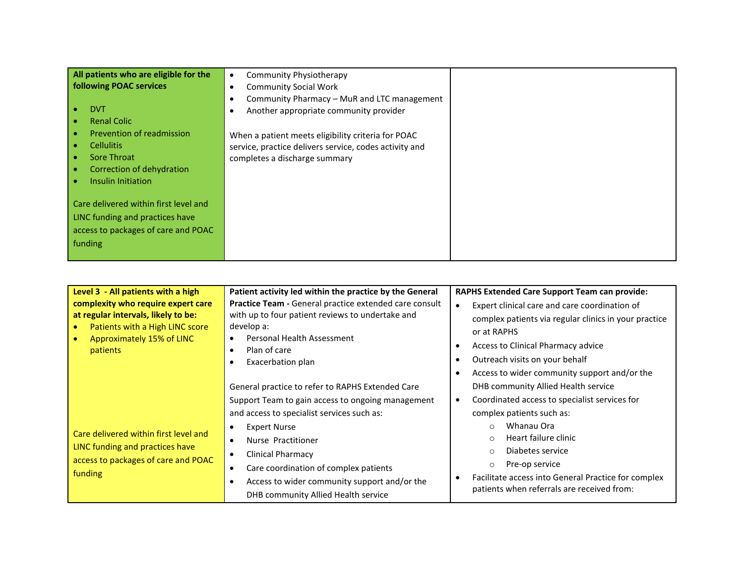| All patients who are eligible for the | <b>Community Physiotherapy</b><br>$\bullet$              |  |
|---------------------------------------|----------------------------------------------------------|--|
| <b>following POAC services</b>        | <b>Community Social Work</b><br>$\bullet$                |  |
|                                       | Community Pharmacy - MuR and LTC management<br>$\bullet$ |  |
| <b>DVT</b>                            | Another appropriate community provider<br>$\bullet$      |  |
| <b>Renal Colic</b>                    |                                                          |  |
| Prevention of readmission             | When a patient meets eligibility criteria for POAC       |  |
| <b>Cellulitis</b>                     | service, practice delivers service, codes activity and   |  |
| Sore Throat                           | completes a discharge summary                            |  |
| Correction of dehydration             |                                                          |  |
| Insulin Initiation                    |                                                          |  |
|                                       |                                                          |  |
| Care delivered within first level and |                                                          |  |
| LINC funding and practices have       |                                                          |  |
| access to packages of care and POAC   |                                                          |  |
| funding                               |                                                          |  |
|                                       |                                                          |  |

| Level 3 - All patients with a high                                                                                                                    | Patient activity led within the practice by the General                                                                                                                                                                                                                                                                                                   | <b>RAPHS Extended Care Support Team can provide:</b>                                                                                                                                                                                                                                                     |
|-------------------------------------------------------------------------------------------------------------------------------------------------------|-----------------------------------------------------------------------------------------------------------------------------------------------------------------------------------------------------------------------------------------------------------------------------------------------------------------------------------------------------------|----------------------------------------------------------------------------------------------------------------------------------------------------------------------------------------------------------------------------------------------------------------------------------------------------------|
| complexity who require expert care<br>at regular intervals, likely to be:<br>Patients with a High LINC score<br>Approximately 15% of LINC<br>patients | Practice Team - General practice extended care consult<br>with up to four patient reviews to undertake and<br>develop a:<br>Personal Health Assessment<br>Plan of care<br>Exacerbation plan<br>٠<br>General practice to refer to RAPHS Extended Care                                                                                                      | Expert clinical care and care coordination of<br>$\bullet$<br>complex patients via regular clinics in your practice<br>or at RAPHS<br>Access to Clinical Pharmacy advice<br>Outreach visits on your behalf<br>Access to wider community support and/or the<br>DHB community Allied Health service        |
| Care delivered within first level and<br>LINC funding and practices have<br>access to packages of care and POAC<br>funding                            | Support Team to gain access to ongoing management<br>and access to specialist services such as:<br><b>Expert Nurse</b><br>٠<br>Nurse Practitioner<br>$\bullet$<br><b>Clinical Pharmacy</b><br>٠<br>Care coordination of complex patients<br>$\bullet$<br>Access to wider community support and/or the<br>$\bullet$<br>DHB community Allied Health service | Coordinated access to specialist services for<br>complex patients such as:<br>Whanau Ora<br>$\Omega$<br>Heart failure clinic<br>$\circ$<br>Diabetes service<br>$\circ$<br>Pre-op service<br>$\circ$<br>Facilitate access into General Practice for complex<br>patients when referrals are received from: |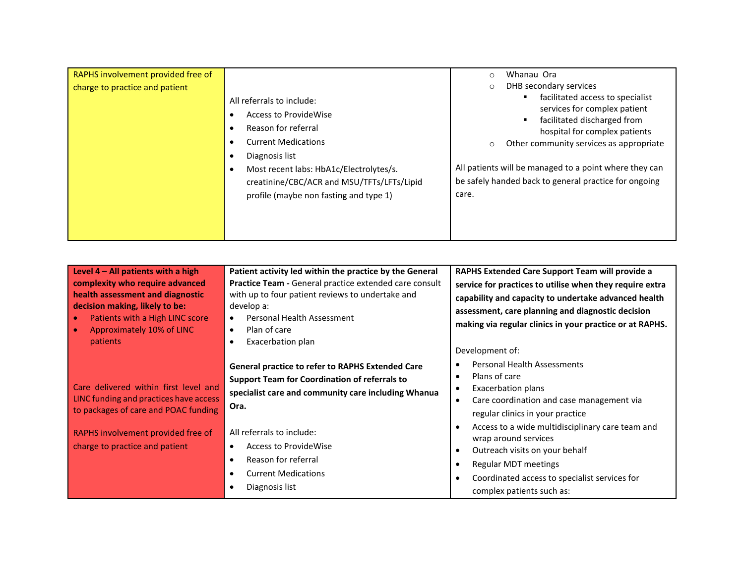| RAPHS involvement provided free of<br>charge to practice and patient | All referrals to include:<br>Access to ProvideWise<br>Reason for referral<br><b>Current Medications</b><br>Diagnosis list<br>Most recent labs: HbA1c/Electrolytes/s.<br>creatinine/CBC/ACR and MSU/TFTs/LFTs/Lipid<br>profile (maybe non fasting and type 1) | Whanau Ora<br>DHB secondary services<br>facilitated access to specialist<br>services for complex patient<br>facilitated discharged from<br>hospital for complex patients<br>Other community services as appropriate<br>All patients will be managed to a point where they can<br>be safely handed back to general practice for ongoing<br>care. |
|----------------------------------------------------------------------|--------------------------------------------------------------------------------------------------------------------------------------------------------------------------------------------------------------------------------------------------------------|-------------------------------------------------------------------------------------------------------------------------------------------------------------------------------------------------------------------------------------------------------------------------------------------------------------------------------------------------|
|----------------------------------------------------------------------|--------------------------------------------------------------------------------------------------------------------------------------------------------------------------------------------------------------------------------------------------------------|-------------------------------------------------------------------------------------------------------------------------------------------------------------------------------------------------------------------------------------------------------------------------------------------------------------------------------------------------|

| Level $4 - All$ patients with a high<br>complexity who require advanced<br>health assessment and diagnostic<br>decision making, likely to be:<br>Patients with a High LINC score<br>Approximately 10% of LINC<br>patients | Patient activity led within the practice by the General<br><b>Practice Team - General practice extended care consult</b><br>with up to four patient reviews to undertake and<br>develop a:<br>Personal Health Assessment<br>Plan of care<br>$\bullet$<br>Exacerbation plan | RAPHS Extended Care Support Team will provide a<br>service for practices to utilise when they require extra<br>capability and capacity to undertake advanced health<br>assessment, care planning and diagnostic decision<br>making via regular clinics in your practice or at RAPHS.<br>Development of: |
|---------------------------------------------------------------------------------------------------------------------------------------------------------------------------------------------------------------------------|----------------------------------------------------------------------------------------------------------------------------------------------------------------------------------------------------------------------------------------------------------------------------|---------------------------------------------------------------------------------------------------------------------------------------------------------------------------------------------------------------------------------------------------------------------------------------------------------|
| Care delivered within first level and<br>LINC funding and practices have access<br>to packages of care and POAC funding                                                                                                   | <b>General practice to refer to RAPHS Extended Care</b><br><b>Support Team for Coordination of referrals to</b><br>specialist care and community care including Whanua<br>Ora.                                                                                             | <b>Personal Health Assessments</b><br>Plans of care<br><b>Exacerbation plans</b><br>Care coordination and case management via<br>regular clinics in your practice                                                                                                                                       |
| RAPHS involvement provided free of<br>charge to practice and patient                                                                                                                                                      | All referrals to include:<br><b>Access to ProvideWise</b><br>$\bullet$<br>Reason for referral<br><b>Current Medications</b><br>Diagnosis list                                                                                                                              | Access to a wide multidisciplinary care team and<br>wrap around services<br>Outreach visits on your behalf<br>Regular MDT meetings<br>Coordinated access to specialist services for<br>complex patients such as:                                                                                        |